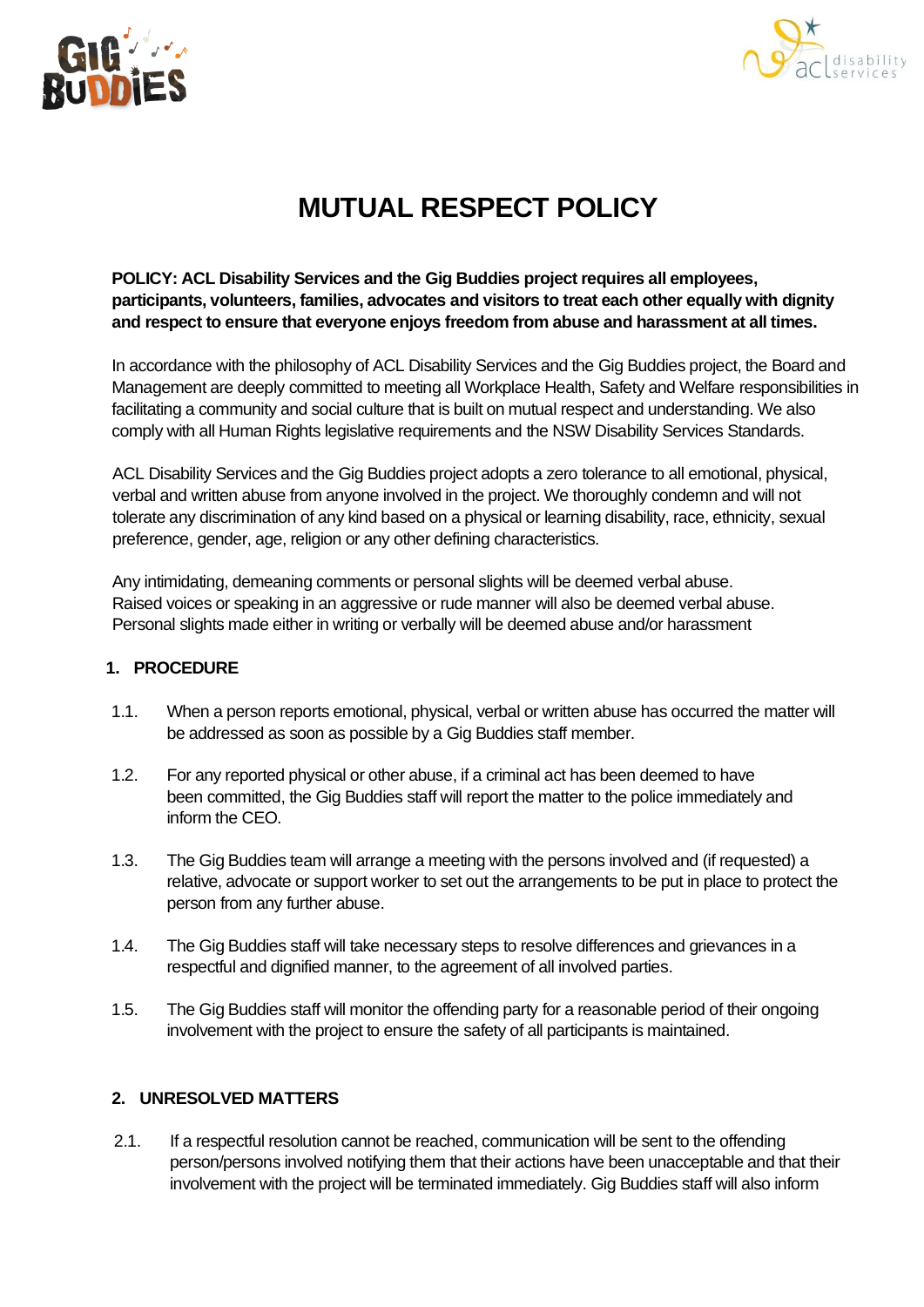



## **MUTUAL RESPECT POLICY**

**POLICY: ACL Disability Services and the Gig Buddies project requires all employees, participants, volunteers, families, advocates and visitors to treat each other equally with dignity and respect to ensure that everyone enjoys freedom from abuse and harassment at all times.**

In accordance with the philosophy of ACL Disability Services and the Gig Buddies project, the Board and Management are deeply committed to meeting all Workplace Health, Safety and Welfare responsibilities in facilitating a community and social culture that is built on mutual respect and understanding. We also comply with all Human Rights legislative requirements and the NSW Disability Services Standards.

ACL Disability Services and the Gig Buddies project adopts a zero tolerance to all emotional, physical, verbal and written abuse from anyone involved in the project. We thoroughly condemn and will not tolerate any discrimination of any kind based on a physical or learning disability, race, ethnicity, sexual preference, gender, age, religion or any other defining characteristics.

Any intimidating, demeaning comments or personal slights will be deemed verbal abuse. Raised voices or speaking in an aggressive or rude manner will also be deemed verbal abuse. Personal slights made either in writing or verbally will be deemed abuse and/or harassment

## **1. PROCEDURE**

- 1.1. When a person reports emotional, physical, verbal or written abuse has occurred the matter will be addressed as soon as possible by a Gig Buddies staff member.
- 1.2. For any reported physical or other abuse, if a criminal act has been deemed to have been committed, the Gig Buddies staff will report the matter to the police immediately and inform the CEO.
- 1.3. The Gig Buddies team will arrange a meeting with the persons involved and (if requested) a relative, advocate or support worker to set out the arrangements to be put in place to protect the person from any further abuse.
- 1.4. The Gig Buddies staff will take necessary steps to resolve differences and grievances in a respectful and dignified manner, to the agreement of all involved parties.
- 1.5. The Gig Buddies staff will monitor the offending party for a reasonable period of their ongoing involvement with the project to ensure the safety of all participants is maintained.

## **2. UNRESOLVED MATTERS**

2.1. If a respectful resolution cannot be reached, communication will be sent to the offending person/persons involved notifying them that their actions have been unacceptable and that their involvement with the project will be terminated immediately. Gig Buddies staff will also inform